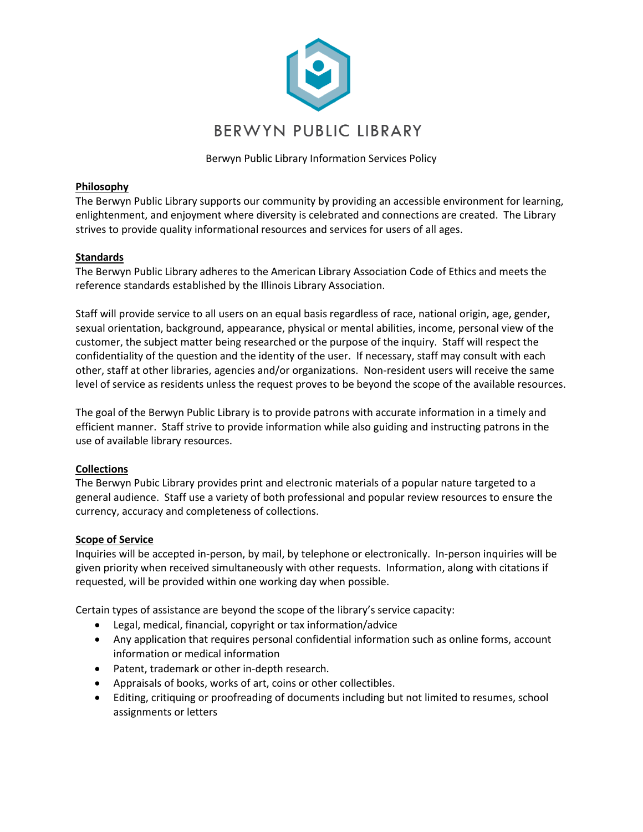

Berwyn Public Library Information Services Policy

## **Philosophy**

The Berwyn Public Library supports our community by providing an accessible environment for learning, enlightenment, and enjoyment where diversity is celebrated and connections are created. The Library strives to provide quality informational resources and services for users of all ages.

# **Standards**

The Berwyn Public Library adheres to the American Library Association Code of Ethics and meets the reference standards established by the Illinois Library Association.

Staff will provide service to all users on an equal basis regardless of race, national origin, age, gender, sexual orientation, background, appearance, physical or mental abilities, income, personal view of the customer, the subject matter being researched or the purpose of the inquiry. Staff will respect the confidentiality of the question and the identity of the user. If necessary, staff may consult with each other, staff at other libraries, agencies and/or organizations. Non-resident users will receive the same level of service as residents unless the request proves to be beyond the scope of the available resources.

The goal of the Berwyn Public Library is to provide patrons with accurate information in a timely and efficient manner. Staff strive to provide information while also guiding and instructing patrons in the use of available library resources.

# **Collections**

The Berwyn Pubic Library provides print and electronic materials of a popular nature targeted to a general audience. Staff use a variety of both professional and popular review resources to ensure the currency, accuracy and completeness of collections.

## **Scope of Service**

Inquiries will be accepted in-person, by mail, by telephone or electronically. In-person inquiries will be given priority when received simultaneously with other requests. Information, along with citations if requested, will be provided within one working day when possible.

Certain types of assistance are beyond the scope of the library's service capacity:

- Legal, medical, financial, copyright or tax information/advice
- Any application that requires personal confidential information such as online forms, account information or medical information
- Patent, trademark or other in-depth research.
- Appraisals of books, works of art, coins or other collectibles.
- Editing, critiquing or proofreading of documents including but not limited to resumes, school assignments or letters